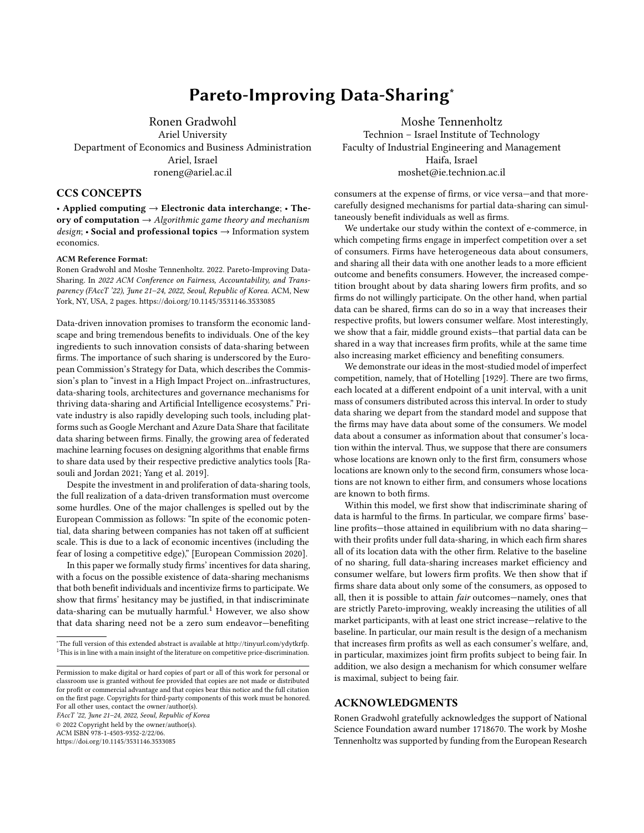# Pareto-Improving Data-Sharing<sup>∗</sup>

Ronen Gradwohl Ariel University Department of Economics and Business Administration Ariel, Israel roneng@ariel.ac.il

## CCS CONCEPTS

• Applied computing  $\rightarrow$  Electronic data interchange; • Theory of computation  $\rightarrow$  Algorithmic game theory and mechanism  $design$ ; • Social and professional topics  $\rightarrow$  Information system economics.

#### ACM Reference Format:

Ronen Gradwohl and Moshe Tennenholtz. 2022. Pareto-Improving Data-Sharing. In 2022 ACM Conference on Fairness, Accountability, and Transparency (FAccT '22), June 21-24, 2022, Seoul, Republic of Korea. ACM, New York, NY, USA, [2](#page-1-0) pages.<https://doi.org/10.1145/3531146.3533085>

Data-driven innovation promises to transform the economic landscape and bring tremendous benefits to individuals. One of the key ingredients to such innovation consists of data-sharing between firms. The importance of such sharing is underscored by the European Commission's Strategy for Data, which describes the Commission's plan to "invest in a High Impact Project on...infrastructures, data-sharing tools, architectures and governance mechanisms for thriving data-sharing and Artificial Intelligence ecosystems." Private industry is also rapidly developing such tools, including platforms such as Google Merchant and Azure Data Share that facilitate data sharing between firms. Finally, the growing area of federated machine learning focuses on designing algorithms that enable firms to share data used by their respective predictive analytics tools [\[Ra](#page-1-1)[souli and Jordan 2021;](#page-1-1) [Yang et al. 2019\]](#page-1-2).

Despite the investment in and proliferation of data-sharing tools, the full realization of a data-driven transformation must overcome some hurdles. One of the major challenges is spelled out by the European Commission as follows: "In spite of the economic potential, data sharing between companies has not taken off at sufficient scale. This is due to a lack of economic incentives (including the fear of losing a competitive edge)," [\[European Commission 2020\]](#page-1-3).

In this paper we formally study firms' incentives for data sharing, with a focus on the possible existence of data-sharing mechanisms that both benefit individuals and incentivize firms to participate. We show that firms' hesitancy may be justified, in that indiscriminate data-sharing can be mutually harmful. $1$  However, we also show that data sharing need not be a zero sum endeavor—benefiting

<span id="page-0-0"></span><sup>∗</sup>The full version of this extended abstract is available at [http://tinyurl.com/ydytkrfp.](http://tinyurl.com/ydytkrfp) <sup>1</sup>This is in line with a main insight of the literature on competitive price-discrimination.

Permission to make digital or hard copies of part or all of this work for personal or classroom use is granted without fee provided that copies are not made or distributed for profit or commercial advantage and that copies bear this notice and the full citation on the first page. Copyrights for third-party components of this work must be honored. For all other uses, contact the owner/author(s).

FAccT '22, June 21–24, 2022, Seoul, Republic of Korea

© 2022 Copyright held by the owner/author(s).

ACM ISBN 978-1-4503-9352-2/22/06.

<https://doi.org/10.1145/3531146.3533085>

Moshe Tennenholtz Technion – Israel Institute of Technology Faculty of Industrial Engineering and Management Haifa, Israel moshet@ie.technion.ac.il

consumers at the expense of firms, or vice versa—and that morecarefully designed mechanisms for partial data-sharing can simultaneously benefit individuals as well as firms.

We undertake our study within the context of e-commerce, in which competing firms engage in imperfect competition over a set of consumers. Firms have heterogeneous data about consumers, and sharing all their data with one another leads to a more efficient outcome and benefits consumers. However, the increased competition brought about by data sharing lowers firm profits, and so firms do not willingly participate. On the other hand, when partial data can be shared, firms can do so in a way that increases their respective profits, but lowers consumer welfare. Most interestingly, we show that a fair, middle ground exists—that partial data can be shared in a way that increases firm profits, while at the same time also increasing market efficiency and benefiting consumers.

We demonstrate our ideas in the most-studied model of imperfect competition, namely, that of [Hotelling](#page-1-4) [\[1929\]](#page-1-4). There are two firms, each located at a different endpoint of a unit interval, with a unit mass of consumers distributed across this interval. In order to study data sharing we depart from the standard model and suppose that the firms may have data about some of the consumers. We model data about a consumer as information about that consumer's location within the interval. Thus, we suppose that there are consumers whose locations are known only to the first firm, consumers whose locations are known only to the second firm, consumers whose locations are not known to either firm, and consumers whose locations are known to both firms.

Within this model, we first show that indiscriminate sharing of data is harmful to the firms. In particular, we compare firms' baseline profits—those attained in equilibrium with no data sharing with their profits under full data-sharing, in which each firm shares all of its location data with the other firm. Relative to the baseline of no sharing, full data-sharing increases market efficiency and consumer welfare, but lowers firm profits. We then show that if firms share data about only some of the consumers, as opposed to all, then it is possible to attain fair outcomes—namely, ones that are strictly Pareto-improving, weakly increasing the utilities of all market participants, with at least one strict increase—relative to the baseline. In particular, our main result is the design of a mechanism that increases firm profits as well as each consumer's welfare, and, in particular, maximizes joint firm profits subject to being fair. In addition, we also design a mechanism for which consumer welfare is maximal, subject to being fair.

## ACKNOWLEDGMENTS

Ronen Gradwohl gratefully acknowledges the support of National Science Foundation award number 1718670. The work by Moshe Tennenholtz was supported by funding from the European Research